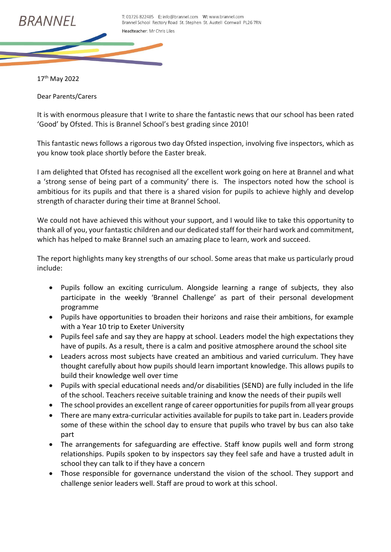

17th May 2022

Dear Parents/Carers

It is with enormous pleasure that I write to share the fantastic news that our school has been rated 'Good' by Ofsted. This is Brannel School's best grading since 2010!

This fantastic news follows a rigorous two day Ofsted inspection, involving five inspectors, which as you know took place shortly before the Easter break.

I am delighted that Ofsted has recognised all the excellent work going on here at Brannel and what a 'strong sense of being part of a community' there is. The inspectors noted how the school is ambitious for its pupils and that there is a shared vision for pupils to achieve highly and develop strength of character during their time at Brannel School.

We could not have achieved this without your support, and I would like to take this opportunity to thank all of you, yourfantastic children and our dedicated staff for their hard work and commitment, which has helped to make Brannel such an amazing place to learn, work and succeed.

The report highlights many key strengths of our school. Some areas that make us particularly proud include:

- Pupils follow an exciting curriculum. Alongside learning a range of subjects, they also participate in the weekly 'Brannel Challenge' as part of their personal development programme
- Pupils have opportunities to broaden their horizons and raise their ambitions, for example with a Year 10 trip to Exeter University
- Pupils feel safe and say they are happy at school. Leaders model the high expectations they have of pupils. As a result, there is a calm and positive atmosphere around the school site
- Leaders across most subjects have created an ambitious and varied curriculum. They have thought carefully about how pupils should learn important knowledge. This allows pupils to build their knowledge well over time
- Pupils with special educational needs and/or disabilities (SEND) are fully included in the life of the school. Teachers receive suitable training and know the needs of their pupils well
- The school provides an excellent range of career opportunities for pupils from all year groups
- There are many extra-curricular activities available for pupils to take part in. Leaders provide some of these within the school day to ensure that pupils who travel by bus can also take part
- The arrangements for safeguarding are effective. Staff know pupils well and form strong relationships. Pupils spoken to by inspectors say they feel safe and have a trusted adult in school they can talk to if they have a concern
- Those responsible for governance understand the vision of the school. They support and challenge senior leaders well. Staff are proud to work at this school.